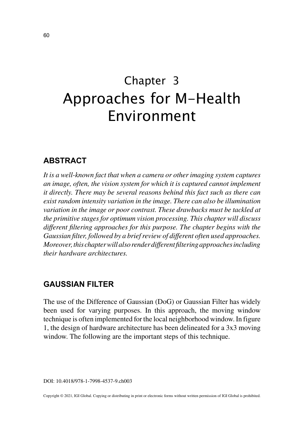# Chapter 3 Approaches for M-Health Environment

# **ABSTRACT**

*It is a well-known fact that when a camera or other imaging system captures an image, often, the vision system for which it is captured cannot implement it directly. There may be several reasons behind this fact such as there can exist random intensity variation in the image. There can also be illumination variation in the image or poor contrast. These drawbacks must be tackled at the primitive stages for optimum vision processing. This chapter will discuss different filtering approaches for this purpose. The chapter begins with the Gaussian filter, followed by a brief review of different often used approaches. Moreover, this chapter will also render different filtering approaches including their hardware architectures.*

# **GAUSSIAN FILTER**

The use of the Difference of Gaussian (DoG) or Gaussian Filter has widely been used for varying purposes. In this approach, the moving window technique is often implemented for the local neighborhood window. In figure 1, the design of hardware architecture has been delineated for a 3x3 moving window. The following are the important steps of this technique.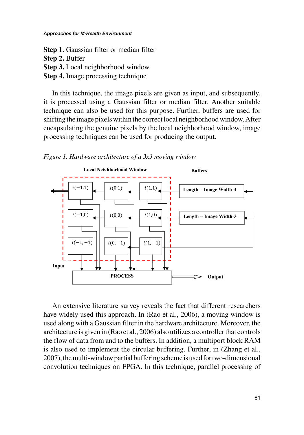#### *Approaches for M-Health Environment*

**Step 1.** Gaussian filter or median filter **Step 2.** Buffer **Step 3.** Local neighborhood window **Step 4.** Image processing technique

In this technique, the image pixels are given as input, and subsequently, it is processed using a Gaussian filter or median filter. Another suitable technique can also be used for this purpose. Further, buffers are used for shifting the image pixels within the correct local neighborhood window. After encapsulating the genuine pixels by the local neighborhood window, image processing techniques can be used for producing the output.

*Figure 1. Hardware architecture of a 3x3 moving window*



An extensive literature survey reveals the fact that different researchers have widely used this approach. In (Rao et al., 2006), a moving window is used along with a Gaussian filter in the hardware architecture. Moreover, the architecture is given in (Rao et al., 2006) also utilizes a controller that controls the flow of data from and to the buffers. In addition, a multiport block RAM is also used to implement the circular buffering. Further, in (Zhang et al., 2007), the multi-window partial buffering scheme is used for two-dimensional convolution techniques on FPGA. In this technique, parallel processing of